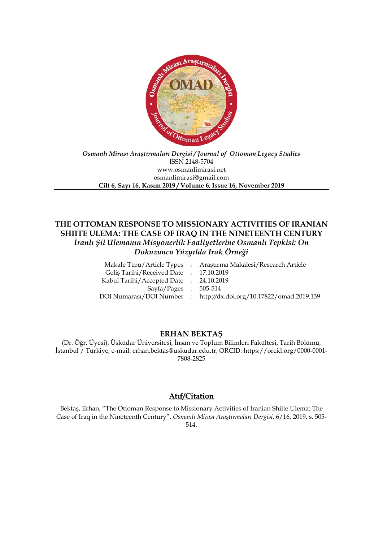

## *Osmanlı Mirası Araştırmaları Dergisi / Journal of Ottoman Legacy Studies* ISSN 2148-5704 www.osmanlimirasi.net osmanlimirasi@gmail.com **Cilt 6, Sayı 16, Kasım 2019 / Volume 6, Issue 16, November 2019**

# **THE OTTOMAN RESPONSE TO MISSIONARY ACTIVITIES OF IRANIAN SHIITE ULEMA: THE CASE OF IRAQ IN THE NINETEENTH CENTURY** *İranlı Şii Ulemanın Misyonerlik Faaliyetlerine Osmanlı Tepkisi: On Dokuzuncu Yüzyılda Irak Örneği*

|                                        | Makale Türü/Article Types : Araştırma Makalesi/Research Article    |
|----------------------------------------|--------------------------------------------------------------------|
| Gelis Tarihi/Received Date: 17.10.2019 |                                                                    |
| Kabul Tarihi/Accepted Date: 24.10.2019 |                                                                    |
| $Sayfa/Pages$ : 505-514                |                                                                    |
|                                        | DOI Numarası/DOI Number : http://dx.doi.org/10.17822/omad.2019.139 |
|                                        |                                                                    |

# **ERHAN BEKTAŞ**

(Dr. Öğr. Üyesi), Üsküdar Üniversitesi, İnsan ve Toplum Bilimleri Fakültesi, Tarih Bölümü, İstanbul / Türkiye, e-mail: erhan.bektas@uskudar.edu.tr, ORCID: https://orcid.org/0000-0001- 7808-2825

# **Atıf/Citation**

Bektaş, Erhan, "The Ottoman Response to Missionary Activities of Iranian Shiite Ulema: The Case of Iraq in the Nineteenth Century", *Osmanlı Mirası Araştırmaları Dergisi*, 6/16, 2019, s. 505- 514.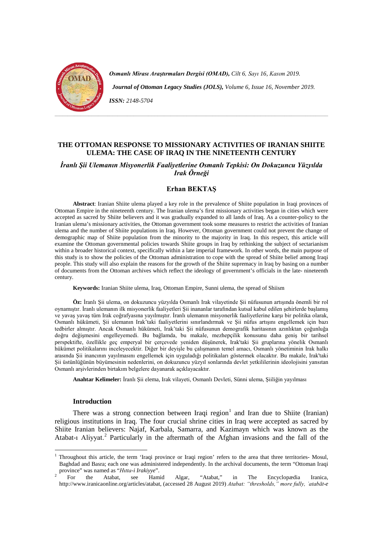

*Osmanlı Mirası Araştırmaları Dergisi (OMAD), Cilt 6, Sayı 16, Kasım 2019. Journal of Ottoman Legacy Studies (JOLS), Volume 6, Issue 16, November 2019. ISSN: 2148-5704*

**THE OTTOMAN RESPONSE TO MISSIONARY ACTIVITIES OF IRANIAN SHIITE ULEMA: THE CASE OF IRAQ IN THE NINETEENTH CENTURY**

# *İranlı Şii Ulemanın Misyonerlik Faaliyetlerine Osmanlı Tepkisi: On Dokuzuncu Yüzyılda Irak Örneği*

## **Erhan BEKTAŞ**

**Abstract**: Iranian Shiite ulema played a key role in the prevalence of Shiite population in Iraqi provinces of Ottoman Empire in the nineteenth century. The Iranian ulema's first missionary activities began in cities which were accepted as sacred by Shiite believers and it was gradually expanded to all lands of Iraq. As a counter-policy to the Iranian ulema's missionary activities, the Ottoman government took some measures to restrict the activities of Iranian ulema and the number of Shiite populations in Iraq. However, Ottoman government could not prevent the change of demographic map of Shiite population from the minority to the majority in Iraq. In this respect, this article will examine the Ottoman governmental policies towards Shiite groups in Iraq by rethinking the subject of sectarianism within a broader historical context, specifically within a late imperial framework. In other words, the main purpose of this study is to show the policies of the Ottoman administration to cope with the spread of Shiite belief among Iraqi people. This study will also explain the reasons for the growth of the Shiite supremacy in Iraq by basing on a number of documents from the Ottoman archives which reflect the ideology of government's officials in the late- nineteenth century.

**Keywords:** Iranian Shiite ulema, Iraq, Ottoman Empire, Sunni ulema, the spread of Shiism

**Öz:** İranlı Şii ulema, on dokuzuncu yüzyılda Osmanlı Irak vilayetinde Şii nüfusunun artışında önemli bir rol oynamıştır. İranlı ulemanın ilk misyonerlik faaliyetleri Şii inananlar tarafından kutsal kabul edilen şehirlerde başlamış ve yavaş yavaş tüm Irak coğrafyasına yayılmıştır. İranlı ulemanın misyonerlik faaliyetlerine karşı bir politika olarak, Osmanlı hükümeti, Şii ulemanın Irak'taki faaliyetlerini sınırlandırmak ve Şii nüfus artışını engellemek için bazı tedbirler almıştır. Ancak Osmanlı hükümeti, Irak'taki Şii nüfusunun demografik haritasının azınlıktan çoğunluğa doğru değişmesini engelleyemedi. Bu bağlamda, bu makale, mezhepçilik konusunu daha geniş bir tarihsel perspektifte, özellikle geç emperyal bir çerçevede yeniden düşünerek, Irak'taki Şii gruplarına yönelik Osmanlı hükümet politikalarını inceleyecektir. Diğer bir deyişle bu çalışmanın temel amacı, Osmanlı yönetiminin Irak halkı arasında Şii inancının yayılmasını engellemek için uyguladığı politikaları göstermek olacaktır. Bu makale, Irak'taki Şii üstünlüğünün büyümesinin nedenlerini, on dokuzuncu yüzyıl sonlarında devlet yetkililerinin ideolojisini yansıtan Osmanlı arşivlerinden birtakım belgelere dayanarak açıklayacaktır.

**Anahtar Kelimeler:** İranlı Şii elema, Irak vilayeti, Osmanlı Devleti, Sünni ulema, Şiiliğin yayılması

#### **Introduction**

There was a strong connection between Iraqi region<sup>[1](#page-2-0)</sup> and Iran due to Shiite (Iranian) religious institutions in Iraq. The four crucial shrine cities in Iraq were accepted as sacred by Shiite Iranian believers: Najaf, Karbala, Samarra, and Kazimayn which was known as the Atabat-1 Aliyyat.<sup>[2](#page-2-1)</sup> Particularly in the aftermath of the Afghan invasions and the fall of the

<span id="page-2-0"></span><sup>&</sup>lt;sup>1</sup> Throughout this article, the term 'Iraqi province or Iraqi region' refers to the area that three territories- Mosul, Baghdad and Basra; each one was administered independently. In the archival documents, the term "Ottoman Iraqi province" was named as "*Hitta-i Irakiyye*".<br>
2 For the Atabat, see Hamid Algar, "Atabat," in The Encyclopædia Iranica,

<span id="page-2-1"></span>http://www.iranicaonline.org/articles/atabat, (accessed 28 August 2019) *Atabat: "thresholds," more fully, ʿatabāt-e*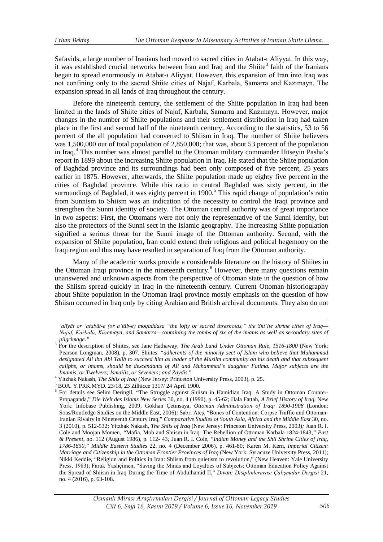$\overline{a}$ 

Safavids, a large number of Iranians had moved to sacred cities in Atabat-ı Aliyyat. In this way, it was established crucial networks between Iran and Iraq and the Shiite<sup>[3](#page-3-0)</sup> faith of the Iranians began to spread enormously in Atabat-ı Aliyyat. However, this expansion of Iran into Iraq was not confining only to the sacred Shiite cities of Najaf, Karbala, Samarra and Kazımayn. The expansion spread in all lands of Iraq throughout the century.

Before the nineteenth century, the settlement of the Shiite population in Iraq had been limited in the lands of Shiite cities of Najaf, Karbala, Samarra and Kazımayn. However, major changes in the number of Shiite populations and their settlement distribution in Iraq had taken place in the first and second half of the nineteenth century. According to the statistics, 53 to 56 percent of the all population had converted to Shiism in Iraq. The number of Shiite believers was 1,500,000 out of total population of 2,850,000; that was, about 53 percent of the population in Iraq.<sup>[4](#page-3-1)</sup> This number was almost parallel to the Ottoman military commander Hüseyin Pasha's report in 1899 about the increasing Shiite population in Iraq. He stated that the Shiite population of Baghdad province and its surroundings had been only composed of five percent, 25 years earlier in 1875. However, afterwards, the Shiite population made up eighty five percent in the cities of Baghdad province. While this ratio in central Baghdad was sixty percent, in the surroundings of Baghdad, it was eighty percent in 1900.<sup>[5](#page-3-2)</sup> This rapid change of population's ratio from Sunnism to Shiism was an indication of the necessity to control the Iraqi province and strengthen the Sunni identity of society. The Ottoman central authority was of great importance in two aspects: First, the Ottomans were not only the representative of the Sunni identity, but also the protectors of the Sunni sect in the Islamic geography. The increasing Shiite population signified a serious threat for the Sunni image of the Ottoman authority. Second, with the expansion of Shiite population, Iran could extend their religious and political hegemony on the Iraqi region and this may have resulted in separation of Iraq from the Ottoman authority.

Many of the academic works provide a considerable literature on the history of Shiites in the Ottoman Iraqi province in the nineteenth century.<sup>[6](#page-3-3)</sup> However, there many questions remain unanswered and unknown aspects from the perspective of Ottoman state in the question of how the Shiism spread quickly in Iraq in the nineteenth century*.* Current Ottoman historiography about Shiite population in the Ottoman Iraqi province mostly emphasis on the question of how Shiism occurred in Iraq only by citing Arabian and British archival documents. They also do not

*ʿalīyāt or ʿatabāt-e (or aʿtāb-e) moqaddasa "the lofty or sacred thresholds," the Shiʿite shrine cities of Iraq— Naǰaf, Karbalā, Kāẓemayn, and Samarra—containing the tombs of six of the imams as well as secondary sites of* 

<span id="page-3-0"></span>*pilgrimage."* <sup>3</sup> For the description of Shiites, see Jane Hathaway, *The Arab Land Under Ottoman Rule, 1516-1800* (New York: Pearson Longman, 2008), p. 307. Shiites: "*adherents of the minority sect of Islam who believe that Muhammad designated Ali ibn Abi Talib to succeed him as leader of the Muslim community on his death and that subsequent caliphs, or imams, should be descendants of Ali and Muhammad's daughter Fatima. Major subjects are the* 

<span id="page-3-3"></span><span id="page-3-2"></span>

<span id="page-3-1"></span><sup>4</sup> Yitzhak Nakash, *The Shiis of Iraq* (New Jersey: Princeton University Press, 2003), p. 25.<br><sup>5</sup> BOA. Y.PRK.MYD. 23/18, 23 Zilhicce 1317/ 24 April 1900.<br><sup>6</sup> For details see Selim Deringil, "The Struggle against Shiism in H Propaganda," *Die Welt des Islams New Series* 30, no. 4 (1990), p. 45-62; Hala Fattah, *A Brief History of Iraq*, New York: Infobase Publishing, 2009; Gökhan Çetinsaya, *Ottoman Administration of Iraq: 1890-1908* (London: Soas/Routledge Studies on the Middle East, 2006)*;* Sabri Ateş, "Bones of Contention: Corpse Traffic and Ottoman-Iranian Rivalry in Nineteenth Century Iraq," *Comparative Studies of South Asia, Africa and the Middle East* 30, no. 3 (2010), p. 512-532; Yitzhak Nakash, *The Shiis of Iraq* (New Jersey: Princeton University Press, 2003)*;* Juan R. I. Cole and Moojan Momen*, "*Mafia, Mob and Shiism in Iraq: The Rebellion of Ottoman Karbala 1824-1843*," Past & Present,* no. 112 (August 1986), p. 112- 43*;* Juan R. I. Cole, *"Indian Money and the Shii Shrine Cities of Iraq, 1786-1850," Middle Eastern Studies* 22. no. 4 (December 2006), p. 461-80*;* Karen M. Kern, *Imperial Citizen: Marriage and Citizenship in the Ottoman Frontier Provinces of Iraq* (New York: Syracuze University Press, 2011); Nikki Keddie, "Religion and Politics in Iran: Shiism from quietism to revolution," (New Heaven: Yale University Press, 1983); Faruk Yaslıçimen, "Saving the Minds and Loyalties of Subjects: Ottoman Education Policy Against the Spread of Shiism in Iraq During the Time of Abdülhamid II," *Divan: Disiplinlerarası Çalışmalar Dergisi* 21, no. 4 (2016), p. 63-108.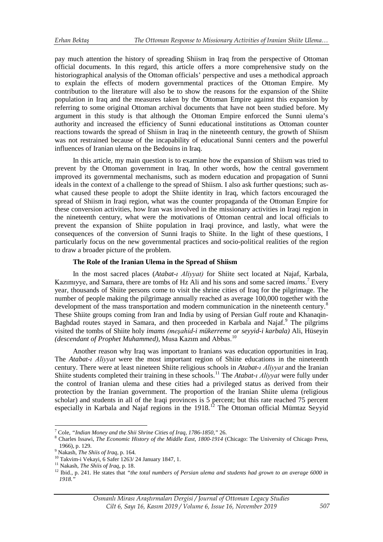pay much attention the history of spreading Shiism in Iraq from the perspective of Ottoman official documents. In this regard, this article offers a more comprehensive study on the historiographical analysis of the Ottoman officials' perspective and uses a methodical approach to explain the effects of modern governmental practices of the Ottoman Empire. My contribution to the literature will also be to show the reasons for the expansion of the Shiite population in Iraq and the measures taken by the Ottoman Empire against this expansion by referring to some original Ottoman archival documents that have not been studied before. My argument in this study is that although the Ottoman Empire enforced the Sunni ulema's authority and increased the efficiency of Sunni educational institutions as Ottoman counter reactions towards the spread of Shiism in Iraq in the nineteenth century, the growth of Shiism was not restrained because of the incapability of educational Sunni centers and the powerful influences of Iranian ulema on the Bedouins in Iraq.

In this article, my main question is to examine how the expansion of Shiism was tried to prevent by the Ottoman government in Iraq. In other words, how the central government improved its governmental mechanisms, such as modern education and propagation of Sunni ideals in the context of a challenge to the spread of Shiism. I also ask further questions; such aswhat caused these people to adopt the Shiite identity in Iraq, which factors encouraged the spread of Shiism in Iraqi region, what was the counter propaganda of the Ottoman Empire for these conversion activities, how Iran was involved in the missionary activities in Iraqi region in the nineteenth century, what were the motivations of Ottoman central and local officials to prevent the expansion of Shiite population in Iraqi province, and lastly, what were the consequences of the conversion of Sunni Iraqis to Shiite. In the light of these questions, I particularly focus on the new governmental practices and socio-political realities of the region to draw a broader picture of the problem.

### **The Role of the Iranian Ulema in the Spread of Shiism**

In the most sacred places (*Atabat-ı Aliyyat)* for Shiite sect located at Najaf, Karbala, Kazımıyye, and Samara, there are tombs of Hz Ali and his sons and some sacred *imams*. [7](#page-4-0) Every year, thousands of Shiite persons come to visit the shrine cities of Iraq for the pilgrimage. The number of people making the pilgrimage annually reached as average 100,000 together with the development of the mass transportation and modern communication in the nineteenth century.<sup>[8](#page-4-1)</sup> These Shiite groups coming from Iran and India by using of Persian Gulf route and Khanaqin-Baghdad routes stayed in Samara, and then proceeded in Karbala and Najaf.<sup>[9](#page-4-2)</sup> The pilgrims visited the tombs of Shiite holy *imams (meşahid-i mükerreme or seyyid-i karbala)* Ali, Hüseyin *(descendant of Prophet Muhammed),* Musa Kazım and Abbas.[10](#page-4-3)

Another reason why Iraq was important to Iranians was education opportunities in Iraq. The *Atabat-ı Aliyyat* were the most important region of Shiite educations in the nineteenth century. There were at least nineteen Shiite religious schools in *Atabat-ı Aliyyat* and the Iranian Shiite students completed their training in these schools.[11](#page-4-4) The *Atabat-ı Aliyyat* were fully under the control of Iranian ulema and these cities had a privileged status as derived from their protection by the Iranian government. The proportion of the Iranian Shiite ulema (religious scholar) and students in all of the Iraqi provinces is 5 percent; but this rate reached 75 percent especially in Karbala and Najaf regions in the 1918.<sup>[12](#page-4-5)</sup> The Ottoman official Mümtaz Seyyid

<u>.</u>

<span id="page-4-1"></span><span id="page-4-0"></span><sup>&</sup>lt;sup>7</sup> Cole, *"Indian Money and the Shii Shrine Cities of Iraq, 1786-1850," 26.*<br><sup>8</sup> Charles Issawi, *The Economic History of the Middle East, 1800-1914* (Chicago: The University of Chicago Press, 1966), p. 129.<br><sup>9</sup> Nakash, *The Shiis of Iraq*, p. 164.<br><sup>10</sup> Takvim-i Vekayi, 6 Safer 1263/24 January 1847, 1.<br><sup>11</sup> Nakash, *The Shiis of Iraq*, p. 18.<br><sup>12</sup> Ibid., p. 241. He states that *"the total numbers of Persian ule* 

<span id="page-4-3"></span><span id="page-4-2"></span>

<span id="page-4-4"></span>

<span id="page-4-5"></span>*<sup>1918.&</sup>quot;*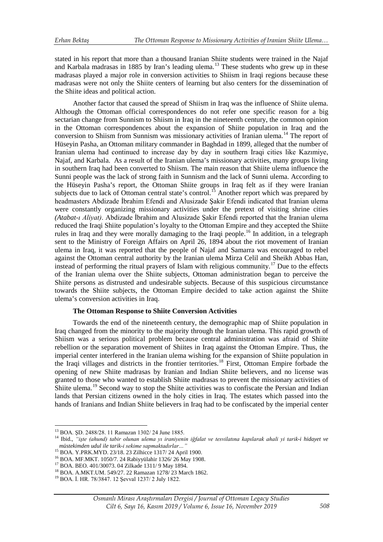stated in his report that more than a thousand Iranian Shiite students were trained in the Najaf and Karbala madrasas in 1885 by Iran's leading ulema.<sup>[13](#page-5-0)</sup> These students who grew up in these madrasas played a major role in conversion activities to Shiism in Iraqi regions because these madrasas were not only the Shiite centers of learning but also centers for the dissemination of the Shiite ideas and political action.

Another factor that caused the spread of Shiism in Iraq was the influence of Shiite ulema. Although the Ottoman official correspondences do not refer one specific reason for a big sectarian change from Sunnism to Shiism in Iraq in the nineteenth century, the common opinion in the Ottoman correspondences about the expansion of Shiite population in Iraq and the conversion to Shiism from Sunnism was missionary activities of Iranian ulema.<sup>[14](#page-5-1)</sup> The report of Hüseyin Pasha, an Ottoman military commander in Baghdad in 1899, alleged that the number of Iranian ulema had continued to increase day by day in southern Iraqi cities like Kazımiye, Najaf, and Karbala. As a result of the Iranian ulema's missionary activities, many groups living in southern Iraq had been converted to Shiism. The main reason that Shiite ulema influence the Sunni people was the lack of strong faith in Sunnism and the lack of Sunni ulema. According to the Hüseyin Pasha's report, the Ottoman Shiite groups in Iraq felt as if they were Iranian subjects due to lack of Ottoman central state's control.<sup>[15](#page-5-2)</sup> Another report which was prepared by headmasters Abdizade İbrahim Efendi and Alusizade Şakir Efendi indicated that Iranian ulema were constantly organizing missionary activities under the pretext of visiting shrine cities *(Atabat-ı Aliyat)*. Abdizade İbrahim and Alusizade Şakir Efendi reported that the Iranian ulema reduced the Iraqi Shiite population's loyalty to the Ottoman Empire and they accepted the Shiite rules in Iraq and they were morally damaging to the Iraqi people.<sup>[16](#page-5-3)</sup> In addition, in a telegraph sent to the Ministry of Foreign Affairs on April 26, 1894 about the riot movement of Iranian ulema in Iraq, it was reported that the people of Najaf and Samarra was encouraged to rebel against the Ottoman central authority by the Iranian ulema Mirza Celil and Sheikh Abbas Han, instead of performing the ritual prayers of Islam with religious community.<sup>[17](#page-5-4)</sup> Due to the effects of the Iranian ulema over the Shiite subjects, Ottoman administration began to perceive the Shiite persons as distrusted and undesirable subjects. Because of this suspicious circumstance towards the Shiite subjects, the Ottoman Empire decided to take action against the Shiite ulema's conversion activities in Iraq.

#### **The Ottoman Response to Shiite Conversion Activities**

Towards the end of the nineteenth century, the demographic map of Shiite population in Iraq changed from the minority to the majority through the Iranian ulema. This rapid growth of Shiism was a serious political problem because central administration was afraid of Shiite rebellion or the separation movement of Shiites in Iraq against the Ottoman Empire. Thus, the imperial center interfered in the Iranian ulema wishing for the expansion of Shiite population in the Iraqi villages and districts in the frontier territories.[18](#page-5-5) First, Ottoman Empire forbade the opening of new Shiite madrasas by Iranian and Indian Shiite believers, and no license was granted to those who wanted to establish Shiite madrasas to prevent the missionary activities of Shiite ulema.<sup>[19](#page-5-6)</sup> Second way to stop the Shiite activities was to confiscate the Persian and Indian lands that Persian citizens owned in the holy cities in Iraq. The estates which passed into the hands of Iranians and Indian Shiite believers in Iraq had to be confiscated by the imperial center

<u>.</u>

<span id="page-5-1"></span><span id="page-5-0"></span><sup>13</sup> BOA. ŞD. 2488/28. 11 Ramazan 1302/ 24 June 1885. <sup>14</sup> Ibid., *"işte (ahund) tabir olunan ulema yı iraniyenin iğfalat ve tesvilatına kapılarak ahali yi tarik-i hidayet ve*  müstekimden udul ile tarik-i sekime sapmaktadırlar..."<br>
<sup>15</sup> BOA. Y.PRK.MYD. 23/18. 23 Zilhicce 1317/ 24 April 1900.<br>
<sup>16</sup> BOA. MF.MKT. 1050/7. 24 Rabiyyülahir 1326/ 26 May 1908.<br>
<sup>17</sup> BOA. BEO. 401/30073. 04 Zilkade 1311/

<span id="page-5-2"></span>

<span id="page-5-3"></span>

<span id="page-5-5"></span><span id="page-5-4"></span>

<span id="page-5-6"></span>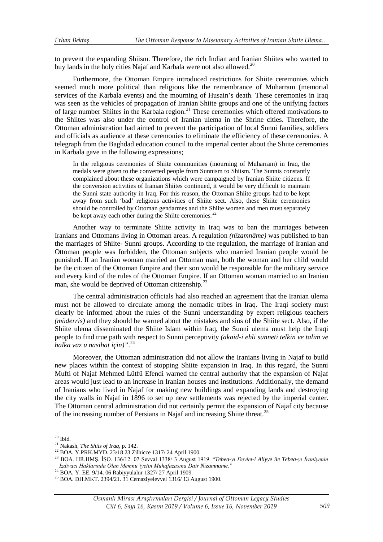to prevent the expanding Shiism. Therefore, the rich Indian and Iranian Shiites who wanted to buy lands in the holy cities Najaf and Karbala were not also allowed.<sup>20</sup>

Furthermore, the Ottoman Empire introduced restrictions for Shiite ceremonies which seemed much more political than religious like the remembrance of Muharram (memorial services of the Karbala events) and the mourning of Husain's death. These ceremonies in Iraq was seen as the vehicles of propagation of Iranian Shiite groups and one of the unifying factors of large number Shiites in the Karbala region.<sup>[21](#page-6-1)</sup> These ceremonies which offered motivations to the Shiites was also under the control of Iranian ulema in the Shrine cities. Therefore, the Ottoman administration had aimed to prevent the participation of local Sunni families, soldiers and officials as audience at these ceremonies to eliminate the efficiency of these ceremonies. A telegraph from the Baghdad education council to the imperial center about the Shiite ceremonies in Karbala gave in the following expressions;

In the religious ceremonies of Shiite communities (mourning of Muharram) in Iraq, the medals were given to the converted people from Sunnism to Shiism. The Sunnis constantly complained about these organizations which were campaigned by Iranian Shiite citizens. If the conversion activities of Iranian Shiites continued, it would be very difficult to maintain the Sunni state authority in Iraq. For this reason, the Ottoman Shiite groups had to be kept away from such 'bad' religious activities of Shiite sect. Also, these Shiite ceremonies should be controlled by Ottoman gendarmes and the Shiite women and men must separately be kept away each other during the Shiite ceremonies*.* [22](#page-6-2)

Another way to terminate Shiite activity in Iraq was to ban the marriages between Iranians and Ottomans living in Ottoman areas. A regulation *(nîzamnâme)* was published to ban the marriages of Shiite- Sunni groups. According to the regulation, the marriage of Iranian and Ottoman people was forbidden, the Ottoman subjects who married Iranian people would be punished. If an Iranian woman married an Ottoman man, both the woman and her child would be the citizen of the Ottoman Empire and their son would be responsible for the military service and every kind of the rules of the Ottoman Empire. If an Ottoman woman married to an Iranian man, she would be deprived of Ottoman citizenship.<sup>[23](#page-6-3)</sup>

The central administration officials had also reached an agreement that the Iranian ulema must not be allowed to circulate among the nomadic tribes in Iraq. The Iraqi society must clearly be informed about the rules of the Sunni understanding by expert religious teachers *(müderris)* and they should be warned about the mistakes and sins of the Shiite sect. Also, if the Shiite ulema disseminated the Shiite Islam within Iraq, the Sunni ulema must help the Iraqi people to find true path with respect to Sunni perceptivity *(akaid-i ehli sünneti telkin ve talim ve halka vaz u nasihat için)"*. [24](#page-6-4)

Moreover, the Ottoman administration did not allow the Iranians living in Najaf to build new places within the context of stopping Shiite expansion in Iraq. In this regard, the Sunni Mufti of Najaf Mehmed Lütfü Efendi warned the central authority that the expansion of Najaf areas would just lead to an increase in Iranian houses and institutions. Additionally, the demand of Iranians who lived in Najaf for making new buildings and expanding lands and destroying the city walls in Najaf in 1896 to set up new settlements was rejected by the imperial center. The Ottoman central administration did not certainly permit the expansion of Najaf city because of the increasing number of Persians in Najaf and increasing Shiite threat.[25](#page-6-5)

<span id="page-6-0"></span> $20$  Ibid.

<span id="page-6-3"></span>

<span id="page-6-2"></span><span id="page-6-1"></span><sup>&</sup>lt;sup>21</sup> Nakash, *The Shiis of Iraq*, p. 142.<br><sup>22</sup> BOA. Y.PRK.MYD. 23/18 23 Zilhicce 1317/24 April 1900.<br><sup>23</sup> BOA. HR.HMŞ. İŞO. 136/12. 07 Şevval 1338/3 August 1919. *"Tebea-yı Devlet-i Aliyye ile Tebea-yı İraniyenin*<br>*İzdivac* 

<span id="page-6-5"></span><span id="page-6-4"></span><sup>&</sup>lt;sup>24</sup> BOA. Y. EE. 9/14. 06 Rabiyyülahir 1327/ 27 April 1909.<br><sup>25</sup> BOA. DH.MKT. 2394/21. 31 Cemaziyelevvel 1316/ 13 August 1900.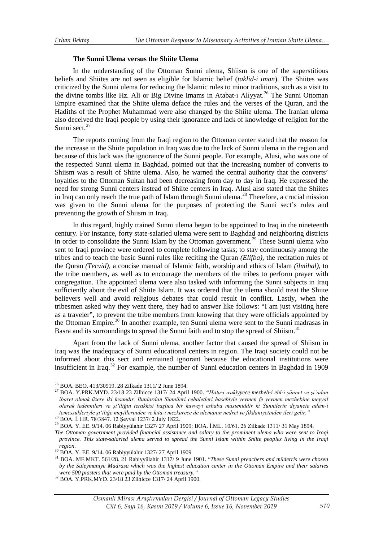### **The Sunni Ulema versus the Shiite Ulema**

In the understanding of the Ottoman Sunni ulema, Shiism is one of the superstitious beliefs and Shiites are not seen as eligible for Islamic belief (*taklid-i iman*). The Shiites was criticized by the Sunni ulema for reducing the Islamic rules to minor traditions, such as a visit to the divine tombs like Hz. Ali or Big Divine Imams in Atabat-1 Aliyyat.<sup>[26](#page-7-0)</sup> The Sunni Ottoman Empire examined that the Shiite ulema deface the rules and the verses of the Quran, and the Hadiths of the Prophet Muhammad were also changed by the Shiite ulema. The Iranian ulema also deceived the Iraqi people by using their ignorance and lack of knowledge of religion for the Sunni sect.<sup>27</sup>

The reports coming from the Iraqi region to the Ottoman center stated that the reason for the increase in the Shiite population in Iraq was due to the lack of Sunni ulema in the region and because of this lack was the ignorance of the Sunni people. For example, Alusi, who was one of the respected Sunni ulema in Baghdad, pointed out that the increasing number of converts to Shiism was a result of Shiite ulema. Also, he warned the central authority that the converts' loyalties to the Ottoman Sultan had been decreasing from day to day in Iraq. He expressed the need for strong Sunni centers instead of Shiite centers in Iraq. Alusi also stated that the Shiites in Iraq can only reach the true path of Islam through Sunni ulema.<sup>[28](#page-7-2)</sup> Therefore, a crucial mission was given to the Sunni ulema for the purposes of protecting the Sunni sect's rules and preventing the growth of Shiism in Iraq.

In this regard, highly trained Sunni ulema began to be appointed to Iraq in the nineteenth century. For instance, forty state-salaried ulema were sent to Baghdad and neighboring districts in order to consolidate the Sunni Islam by the Ottoman government.<sup>[29](#page-7-3)</sup> These Sunni ulema who sent to Iraqi province were ordered to complete following tasks; to stay continuously among the tribes and to teach the basic Sunni rules like reciting the Quran *(Elifba),* the recitation rules of the Quran *(Tecvid),* a concise manual of Islamic faith, worship and ethics of Islam *(ilmihal)*, to the tribe members, as well as to encourage the members of the tribes to perform prayer with congregation. The appointed ulema were also tasked with informing the Sunni subjects in Iraq sufficiently about the evil of Shiite Islam. It was ordered that the ulema should treat the Shiite believers well and avoid religious debates that could result in conflict. Lastly, when the tribesmen asked why they went there, they had to answer like follows: "I am just visiting here as a traveler", to prevent the tribe members from knowing that they were officials appointed by the Ottoman Empire.<sup>[30](#page-7-4)</sup> In another example, ten Sunni ulema were sent to the Sunni madrasas in Basra and its surroundings to spread the Sunni faith and to stop the spread of Shiism.<sup>31</sup>

Apart from the lack of Sunni ulema, another factor that caused the spread of Shiism in Iraq was the inadequacy of Sunni educational centers in region. The Iraqi society could not be informed about this sect and remained ignorant because the educational institutions were insufficient in Iraq.[32](#page-7-6) For example, the number of Sunni education centers in Baghdad in 1909

<span id="page-7-2"></span>

<span id="page-7-0"></span><sup>&</sup>lt;sup>26</sup> BOA. BEO. 413/30919. 28 Zilkade 1311/2 June 1894.

<span id="page-7-1"></span><sup>26</sup> BOA. BEO. 413/30919. 28 Zilkade 1311/ 2 June 1894. <sup>27</sup> BOA. Y.PRK.MYD. 23/18 23 Zilhicce 1317/ 24 April 1900. *"Hıtta-i ırakiyyece mezheb-i ehl-i sünnet ve şi'adan ibaret olmak üzere iki kısımdır. Bunlardan Sünnileri cehaletleri hasebiyle yevmen fe yevmen mezhebine meyyal olarak tedennileri ve şi'iliğin terakkisi başlıca bir kuvveyi esbaba müsteniddir ki Sünnilerin diyanete adem-i*  temessükleriyle şi'iliğe meyillerinden ve kıta-i mezkurece de ulemanın nedret ve fıkdaniyetinden ileri gelir."<br><sup>28</sup> BOA. İ. HR. 78/3847. 12 Şevval 1237/ 2 July 1822.<br><sup>29</sup> BOA. Y. EE. 9/14. 06 Rabiyyülahir 1327/ 27 April 19

<span id="page-7-3"></span>

*The Ottoman government provided financial assistance and salary to the prominent ulema who were sent to Iraqi province. This state-salaried ulema served to spread the Sunni Islam within Shiite peoples living in the Iraqi region.*<br><sup>30</sup> BOA. Y. EE. 9/14. 06 Rabiyyülahir 1327/ 27 April 1909

<span id="page-7-5"></span><span id="page-7-4"></span><sup>&</sup>lt;sup>31</sup> BOA. MF.MKT. 561/28. 21 Rabiyyülahir 1317/ 9 June 1901. "*These Sunni preachers and müderris were chosen by the Süleymaniye Madrasa which was the highest education center in the Ottoman Empire and their salaries* 

<span id="page-7-6"></span>*were 500 piasters that were paid by the Ottoman treasury."* <sup>32</sup> BOA. Y.PRK.MYD. 23/18 23 Zilhicce 1317/ 24 April 1900.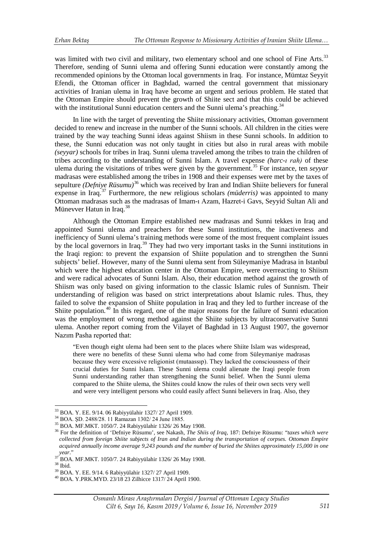was limited with two civil and military, two elementary school and one school of Fine Arts.<sup>[33](#page-8-0)</sup> Therefore, sending of Sunni ulema and offering Sunni education were constantly among the recommended opinions by the Ottoman local governments in Iraq. For instance, Mümtaz Seyyit Efendi, the Ottoman officer in Baghdad, warned the central government that missionary activities of Iranian ulema in Iraq have become an urgent and serious problem. He stated that the Ottoman Empire should prevent the growth of Shiite sect and that this could be achieved with the institutional Sunni education centers and the Sunni ulema's preaching.<sup>[34](#page-8-1)</sup>

In line with the target of preventing the Shiite missionary activities, Ottoman government decided to renew and increase in the number of the Sunni schools. All children in the cities were trained by the way teaching Sunni ideas against Shiism in these Sunni schools. In addition to these, the Sunni education was not only taught in cities but also in rural areas with mobile *(seyyar)* schools for tribes in Iraq. Sunni ulema traveled among the tribes to train the children of tribes according to the understanding of Sunni Islam. A travel expense *(harc-ı rah)* of these ulema during the visitations of tribes were given by the government.[35](#page-8-2) For instance, ten *seyyar* madrasas were established among the tribes in 1908 and their expenses were met by the taxes of sepulture *(Defniye Rüsumu)*<sup>[36](#page-8-3)</sup> which was received by Iran and Indian Shiite believers for funeral expense in Iraq.[37](#page-8-4) Furthermore, the new religious scholars *(müderris)* was appointed to many Ottoman madrasas such as the madrasas of Imam-ı Azam, Hazret-i Gavs, Seyyid Sultan Ali and Münevver Hatun in Iraq.<sup>38</sup>

Although the Ottoman Empire established new madrasas and Sunni tekkes in Iraq and appointed Sunni ulema and preachers for these Sunni institutions, the inactiveness and inefficiency of Sunni ulema's training methods were some of the most frequent complaint issues by the local governors in Iraq.<sup>[39](#page-8-6)</sup> They had two very important tasks in the Sunni institutions in the Iraqi region: to prevent the expansion of Shiite population and to strengthen the Sunni subjects' belief. However, many of the Sunni ulema sent from Süleymaniye Madrasa in Istanbul which were the highest education center in the Ottoman Empire, were overreacting to Shiism and were radical advocates of Sunni Islam. Also, their education method against the growth of Shiism was only based on giving information to the classic Islamic rules of Sunnism. Their understanding of religion was based on strict interpretations about Islamic rules. Thus, they failed to solve the expansion of Shiite population in Iraq and they led to further increase of the Shiite population.<sup>[40](#page-8-7)</sup> In this regard, one of the major reasons for the failure of Sunni education was the employment of wrong method against the Shiite subjects by ultraconservative Sunni ulema. Another report coming from the Vilayet of Baghdad in 13 August 1907, the governor Nazım Pasha reported that:

"Even though eight ulema had been sent to the places where Shiite Islam was widespread, there were no benefits of these Sunni ulema who had come from Süleymaniye madrasas because they were excessive religionist (mutaassıp). They lacked the consciousness of their crucial duties for Sunni Islam. These Sunni ulema could alienate the Iraqi people from Sunni understanding rather than strengthening the Sunni belief. When the Sunni ulema compared to the Shiite ulema, the Shiites could know the rules of their own sects very well and were very intelligent persons who could easily affect Sunni believers in Iraq. Also, they

<span id="page-8-0"></span><sup>&</sup>lt;sup>33</sup> BOA. Y. EE. 9/14. 06 Rabiyyülahir 1327/27 April 1909.

<span id="page-8-3"></span><span id="page-8-2"></span>

<span id="page-8-1"></span><sup>&</sup>lt;sup>34</sup> BOA. SD. 2488/28. 11 Ramazan 1302/24 June 1885.<br><sup>35</sup> BOA. MF.MKT. 1050/7. 24 Rabiyyülahir 1326/26 May 1908.<br><sup>36</sup> For the definition of 'Defniye Rüsumu', see Nakash, *The Shiis of Iraq*, 187: Defniye Rüsumu: "*taxes w collected from foreign Shiite subjects of Iran and Indian during the transportation of corpses. Ottoman Empire acquired annually income average 9,243 pounds and the number of buried the Shiites approximately 15,000 in one year."*<br><sup>37</sup> BOA. MF.MKT. 1050/7. 24 Rabiyyülahir 1326/ 26 May 1908.<br><sup>38</sup> BOA. Y. EE. 9/14. 6 Rabiyyülahir 1327/ 27 April 1909.<br><sup>40</sup> BOA. Y.PRK.MYD. 23/18 23 Zilhicce 1317/ 24 April 1900.

<span id="page-8-4"></span>

<span id="page-8-5"></span>

<span id="page-8-7"></span><span id="page-8-6"></span>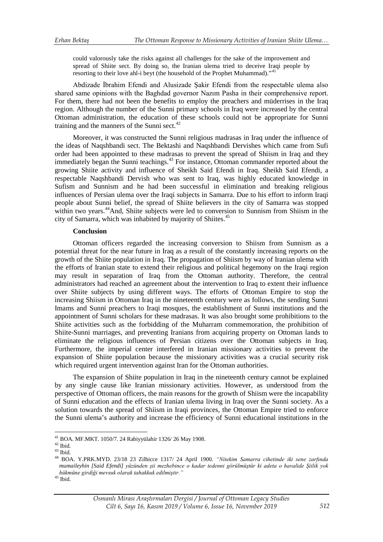could valorously take the risks against all challenges for the sake of the improvement and spread of Shiite sect. By doing so, the Iranian ulema tried to deceive Iraqi people by resorting to their love ahl-i beyt (the household of the Prophet Muhammad)."<sup>4</sup>

Abdizade İbrahim Efendi and Alusizade Şakir Efendi from the respectable ulema also shared same opinions with the Baghdad governor Nazım Pasha in their comprehensive report. For them, there had not been the benefits to employ the preachers and müderrises in the Iraq region. Although the number of the Sunni primary schools in Iraq were increased by the central Ottoman administration, the education of these schools could not be appropriate for Sunni training and the manners of the Sunni sect. $42$ 

Moreover, it was constructed the Sunni religious madrasas in Iraq under the influence of the ideas of Naqshbandi sect. The Bektashi and Naqshbandi Dervishes which came from Sufi order had been appointed to these madrasas to prevent the spread of Shiism in Iraq and they immediately began the Sunni teachings.<sup>[43](#page-9-2)</sup> For instance, Ottoman commander reported about the growing Shiite activity and influence of Sheikh Said Efendi in Iraq. Sheikh Said Efendi, a respectable Naqshbandi Dervish who was sent to Iraq, was highly educated knowledge in Sufism and Sunnism and he had been successful in elimination and breaking religious influences of Persian ulema over the Iraqi subjects in Samarra. Due to his effort to inform Iraqi people about Sunni belief, the spread of Shiite believers in the city of Samarra was stopped within two years.<sup>44</sup>And, Shiite subjects were led to conversion to Sunnism from Shiism in the city of Samarra, which was inhabited by majority of Shiites.<sup>[45](#page-9-4)</sup>

#### **Conclusion**

Ottoman officers regarded the increasing conversion to Shiism from Sunnism as a potential threat for the near future in Iraq as a result of the constantly increasing reports on the growth of the Shiite population in Iraq. The propagation of Shiism by way of Iranian ulema with the efforts of Iranian state to extend their religious and political hegemony on the Iraqi region may result in separation of Iraq from the Ottoman authority. Therefore, the central administrators had reached an agreement about the intervention to Iraq to extent their influence over Shiite subjects by using different ways. The efforts of Ottoman Empire to stop the increasing Shiism in Ottoman Iraq in the nineteenth century were as follows, the sending Sunni Imams and Sunni preachers to Iraqi mosques, the establishment of Sunni institutions and the appointment of Sunni scholars for these madrasas. It was also brought some prohibitions to the Shiite activities such as the forbidding of the Muharram commemoration, the prohibition of Shiite-Sunni marriages, and preventing Iranians from acquiring property on Ottoman lands to eliminate the religious influences of Persian citizens over the Ottoman subjects in Iraq. Furthermore, the imperial center interfered in Iranian missionary activities to prevent the expansion of Shiite population because the missionary activities was a crucial security risk which required urgent intervention against Iran for the Ottoman authorities.

The expansion of Shiite population in Iraq in the nineteenth century cannot be explained by any single cause like Iranian missionary activities. However, as understood from the perspective of Ottoman officers, the main reasons for the growth of Shiism were the incapability of Sunni education and the effects of Iranian ulema living in Iraq over the Sunni society. As a solution towards the spread of Shiism in Iraqi provinces, the Ottoman Empire tried to enforce the Sunni ulema's authority and increase the efficiency of Sunni educational institutions in the

<u>.</u>

<span id="page-9-3"></span><span id="page-9-2"></span>

<span id="page-9-1"></span><span id="page-9-0"></span><sup>41</sup> BOA. MF.MKT. 1050/7. 24 Rabiyyülahir 1326/ 26 May 1908. <sup>42</sup> Ibid. <sup>43</sup> Ibid. <sup>44</sup> BOA. Y.PRK.MYD. 23/18 23 Zilhicce 1317/ 24 April 1900. *"Nitekim Samarra cihetinde iki sene zarfında mumaileyhin [Said Efendi] yüzünden şii mezhebince o kadar tedenni görülmüştür ki adeta o havalide Şiilik yok hükmüne girdiği mevsuk olarak tahakkuk edilmiştir."* <sup>45</sup> Ibid.

<span id="page-9-4"></span>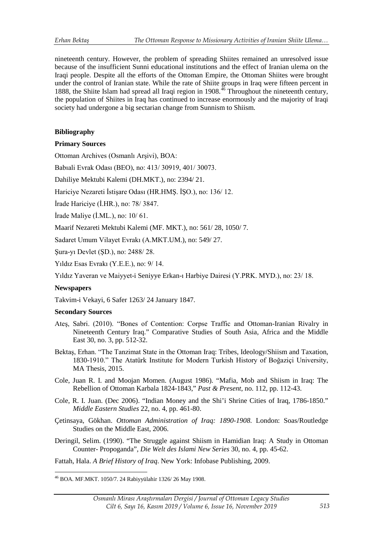nineteenth century. However, the problem of spreading Shiites remained an unresolved issue because of the insufficient Sunni educational institutions and the effect of Iranian ulema on the Iraqi people. Despite all the efforts of the Ottoman Empire, the Ottoman Shiites were brought under the control of Iranian state. While the rate of Shiite groups in Iraq were fifteen percent in 1888, the Shiite Islam had spread all Iraqi region in 1908.<sup>[46](#page-10-0)</sup> Throughout the nineteenth century, the population of Shiites in Iraq has continued to increase enormously and the majority of Iraqi society had undergone a big sectarian change from Sunnism to Shiism.

# **Bibliography**

# **Primary Sources**

Ottoman Archives (Osmanlı Arşivi), BOA:

Babıali Evrak Odası (BEO), no: 413/ 30919, 401/ 30073.

Dahiliye Mektubi Kalemi (DH.MKT.), no: 2394/ 21.

Hariciye Nezareti İstişare Odası (HR.HMŞ. İŞO.), no: 136/ 12.

İrade Hariciye (İ.HR.), no: 78/ 3847.

İrade Maliye (İ.ML.), no: 10/ 61.

Maarif Nezareti Mektubi Kalemi (MF. MKT.), no: 561/ 28, 1050/ 7.

Sadaret Umum Vilayet Evrakı (A.MKT.UM.), no: 549/ 27.

Şura-yı Devlet (ŞD.), no: 2488/ 28.

Yıldız Esas Evrakı (Y.E.E.), no: 9/ 14.

Yıldız Yaveran ve Maiyyet-i Seniyye Erkan-ı Harbiye Dairesi (Y.PRK. MYD.), no: 23/ 18.

## **Newspapers**

Takvim-i Vekayi, 6 Safer 1263/ 24 January 1847.

## **Secondary Sources**

- Ateş, Sabri. (2010). "Bones of Contention: Corpse Traffic and Ottoman-Iranian Rivalry in Nineteenth Century Iraq." Comparative Studies of South Asia, Africa and the Middle East 30, no. 3, pp. 512-32.
- Bektaş, Erhan. "The Tanzimat State in the Ottoman Iraq: Tribes, Ideology/Shiism and Taxation, 1830-1910." The Atatürk Institute for Modern Turkish History of Boğaziçi University, MA Thesis, 2015.
- Cole, Juan R. I. and Moojan Momen. (August 1986). "Mafia, Mob and Shiism in Iraq: The Rebellion of Ottoman Karbala 1824-1843," *Past & Present*, no. 112, pp. 112-43.
- Cole, R. I. Juan. (Dec 2006). "Indian Money and the Shi'i Shrine Cities of Iraq, 1786-1850." *Middle Eastern Studies* 22, no. 4, pp. 461-80.
- Çetinsaya, Gökhan. *Ottoman Administration of Iraq: 1890-1908*. London: Soas/Routledge Studies on the Middle East, 2006.
- Deringil, Selim. (1990). "The Struggle against Shiism in Hamidian Iraq: A Study in Ottoman Counter- Propoganda", *Die Welt des Islami New Series* 30, no. 4, pp. 45-62.

Fattah, Hala. *A Brief History of Iraq*. New York: Infobase Publishing, 2009.

<span id="page-10-0"></span><sup>46</sup> BOA. MF.MKT. 1050/7. 24 Rabiyyülahir 1326/ 26 May 1908. -